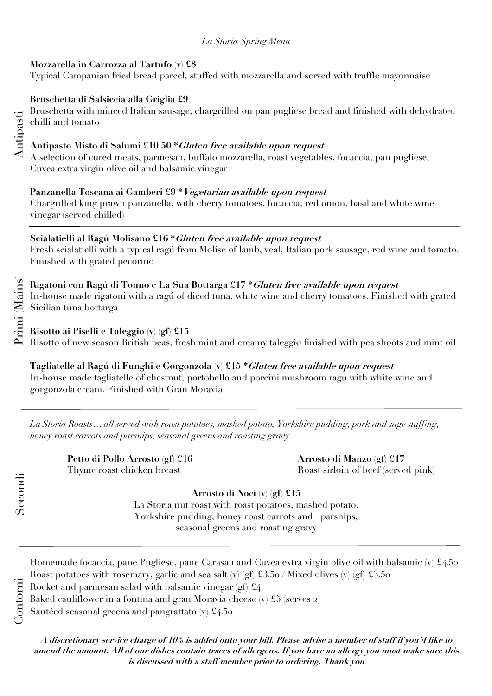## *La Storia Spring Menu*

### **Mozzarella in Carrozza al Tartufo (v) £8**

Typical Campanian fried bread parcel, stuffed with mozzarella and served with truffle mayonnaise

# **Bruschetta di Salsiccia alla Griglia £9**

Bruschetta with minced Italian sausage, chargrilled on pan pugliese bread and finished with dehydrated chilli and tomato

## **Antipasto Misto di Salumi £10.50 \*Gluten free available upon request**

A selection of cured meats, parmesan, buffalo mozzarella, roast vegetables, focaccia, pan pugliese, Cuvea extra virgin olive oil and balsamic vinegar

## **Panzanella Toscana ai Gamberi £9 \*Vegetarian available upon request**

Chargrilled king prawn panzanella, with cherry tomatoes, focaccia, red onion, basil and white wine vinegar (served chilled)

## **Scialatielli al Ragú Molisano £16 \*Gluten free available upon request**

Fresh scialatielli with a typical ragú from Molise of lamb, veal, Italian pork sausage, red wine and tomato. Finished with grated pecorino

**Rigatoni con Ragú di Tonno e La Sua Bottarga £17 \*Gluten free available upon request** In-house made rigatoni with a ragú of diced tuna, white wine and cherry tomatoes. Finished with grated Sicilian tuna bottarga

**Risotto ai Piselli e Taleggio (v) (gf) £15** Risotto of new season British peas, fresh mint and creamy taleggio finished with pea shoots and mint oil

**Tagliatelle al Ragú di Funghi e Gorgonzola (v) £15 \*Gluten free available upon request** In-house made tagliatelle of chestnut, portobello and porcini mushroom ragú with white wine and gorgonzola cream. Finished with Gran Moravia

*La Storia Roasts… all served with roast potatoes, mashed potato, Yorkshire pudding, pork and sage stuffing, honey roast carrots and parsnips, seasonal greens and roasting gravy*

 **Petto di Pollo Arrosto (gf) £16 Arrosto di Manzo (gf) £17**

Thyme roast chicken breast **Roast sirloin of beef** (served pink)

**Arrosto di Noci (v) (gf) £15**

La Storia nut roast with roast potatoes, mashed potato, Yorkshire pudding, honey roast carrots and parsnips, seasonal greens and roasting gravy

**A discretionary service charge of 10% is added onto your bill. Please advise a member of staff if you'd like to amend the amount. All of our dishes contain traces of allergens. If you have an allergy you must make sure this is discussed with a staff member prior to ordering. Thank you**

Antipasti

Secondi